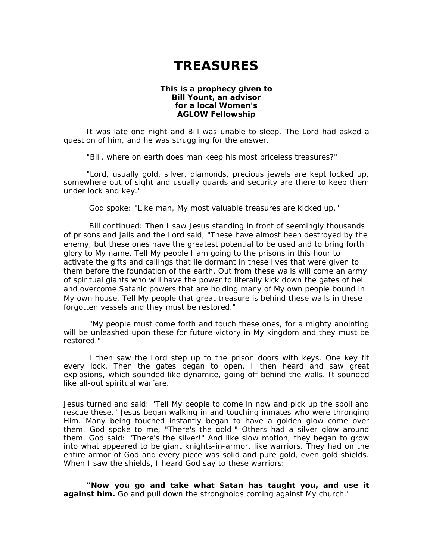## **TREASURES**

## **This is a prophecy given to Bill Yount, an advisor for a local Women's AGLOW Fellowship**

It was late one night and Bill was unable to sleep. The Lord had asked a question of him, and he was struggling for the answer.

"Bill, where on earth does man keep his most priceless treasures?"

"Lord, usually gold, silver, diamonds, precious jewels are kept locked up, somewhere out of sight and usually guards and security are there to keep them under lock and key."

God spoke: "Like man, My most valuable treasures are kicked up."

Bill continued: Then I saw Jesus standing in front of seemingly thousands of prisons and jails and the Lord said, "These have almost been destroyed by the enemy, but these ones have the greatest potential to be used and to bring forth glory to My name. Tell My people I am going to the prisons in this hour to activate the gifts and callings that lie dormant in these lives that were given to them before the foundation of the earth. Out from these walls will come an army of spiritual giants who will have the power to literally kick down the gates of hell and overcome Satanic powers that are holding many of My own people bound in My own house. Tell My people that great treasure is behind these walls in these forgotten vessels and they must be restored."

"My people must come forth and touch these ones, for a mighty anointing will be unleashed upon these for future victory in My kingdom and they must be restored."

I then saw the Lord step up to the prison doors with keys. One key fit every lock. Then the gates began to open. I then heard and saw great explosions, which sounded like dynamite, going off behind the walls. It sounded like all-out spiritual warfare.

Jesus turned and said: "Tell My people to come in now and pick up the spoil and rescue these." Jesus began walking in and touching inmates who were thronging Him. Many being touched instantly began to have a golden glow come over them. God spoke to me, "There's the gold!" Others had a silver glow around them. God said: "There's the silver!" And like slow motion, they began to grow into what appeared to be giant knights-in-armor, like warriors. They had on the entire armor of God and every piece was solid and pure gold, even gold shields. When I saw the shields, I heard God say to these warriors:

**"Now you go and take what Satan has taught you, and use it against him.** Go and pull down the strongholds coming against My church."